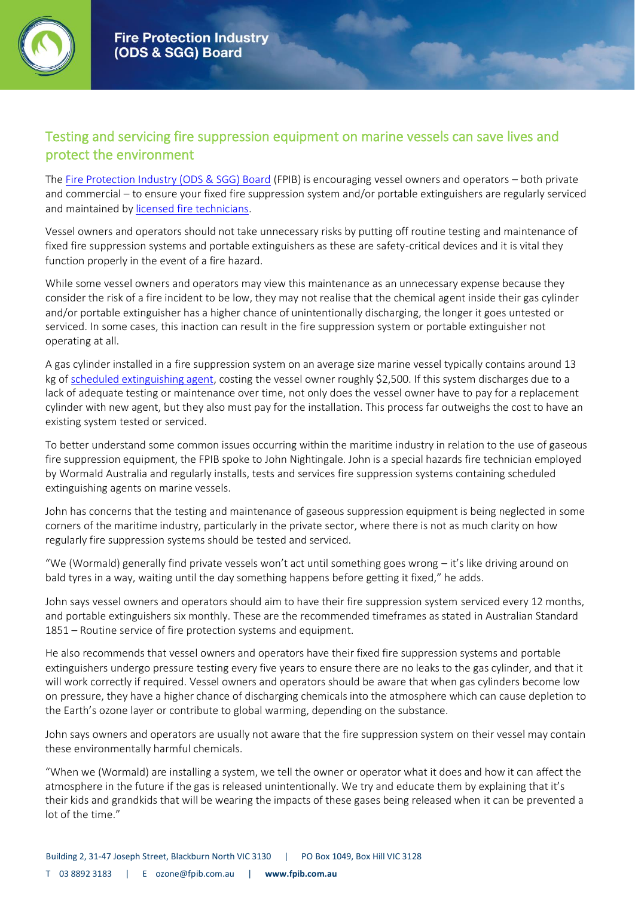

## Testing and servicing fire suppression equipment on marine vessels can save lives and protect the environment

The [Fire Protection Industry \(ODS & SGG\) Board](https://www.fpib.com.au/about-us/) (FPIB) is encouraging vessel owners and operators – both private and commercial – to ensure your fixed fire suppression system and/or portable extinguishers are regularly serviced and maintained b[y licensed fire technicians.](https://www.fpib.com.au/information/licenced-companies/)

Vessel owners and operators should not take unnecessary risks by putting off routine testing and maintenance of fixed fire suppression systems and portable extinguishers as these are safety-critical devices and it is vital they function properly in the event of a fire hazard.

While some vessel owners and operators may view this maintenance as an unnecessary expense because they consider the risk of a fire incident to be low, they may not realise that the chemical agent inside their gas cylinder and/or portable extinguisher has a higher chance of unintentionally discharging, the longer it goes untested or serviced. In some cases, this inaction can result in the fire suppression system or portable extinguisher not operating at all.

A gas cylinder installed in a fire suppression system on an average size marine vessel typically contains around 13 kg o[f scheduled extinguishing agent,](https://www.fpib.com.au/wp-content/uploads/scheduled_agents_fact_sheet.pdf) costing the vessel owner roughly \$2,500. If this system discharges due to a lack of adequate testing or maintenance over time, not only does the vessel owner have to pay for a replacement cylinder with new agent, but they also must pay for the installation. This process far outweighs the cost to have an existing system tested or serviced.

To better understand some common issues occurring within the maritime industry in relation to the use of gaseous fire suppression equipment, the FPIB spoke to John Nightingale. John is a special hazards fire technician employed by Wormald Australia and regularly installs, tests and services fire suppression systems containing scheduled extinguishing agents on marine vessels.

John has concerns that the testing and maintenance of gaseous suppression equipment is being neglected in some corners of the maritime industry, particularly in the private sector, where there is not as much clarity on how regularly fire suppression systems should be tested and serviced.

"We (Wormald) generally find private vessels won't act until something goes wrong – it's like driving around on bald tyres in a way, waiting until the day something happens before getting it fixed," he adds.

John says vessel owners and operators should aim to have their fire suppression system serviced every 12 months, and portable extinguishers six monthly. These are the recommended timeframes as stated in Australian Standard 1851 – Routine service of fire protection systems and equipment.

He also recommends that vessel owners and operators have their fixed fire suppression systems and portable extinguishers undergo pressure testing every five years to ensure there are no leaks to the gas cylinder, and that it will work correctly if required. Vessel owners and operators should be aware that when gas cylinders become low on pressure, they have a higher chance of discharging chemicals into the atmosphere which can cause depletion to the Earth's ozone layer or contribute to global warming, depending on the substance.

John says owners and operators are usually not aware that the fire suppression system on their vessel may contain these environmentally harmful chemicals.

"When we (Wormald) are installing a system, we tell the owner or operator what it does and how it can affect the atmosphere in the future if the gas is released unintentionally. We try and educate them by explaining that it's their kids and grandkids that will be wearing the impacts of these gases being released when it can be prevented a lot of the time."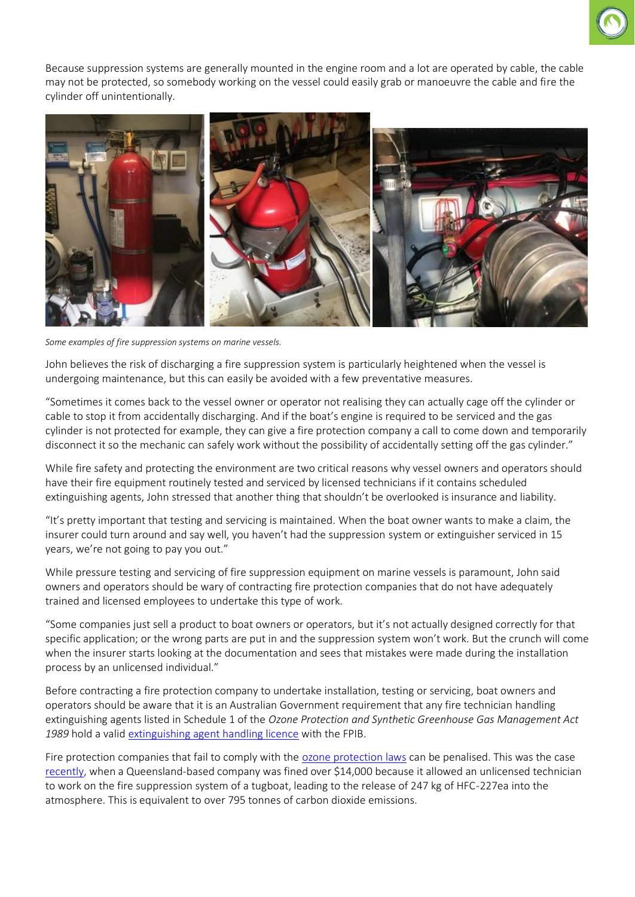

Because suppression systems are generally mounted in the engine room and a lot are operated by cable, the cable may not be protected, so somebody working on the vessel could easily grab or manoeuvre the cable and fire the cylinder off unintentionally.



*Some examples of fire suppression systems on marine vessels.*

John believes the risk of discharging a fire suppression system is particularly heightened when the vessel is undergoing maintenance, but this can easily be avoided with a few preventative measures.

"Sometimes it comes back to the vessel owner or operator not realising they can actually cage off the cylinder or cable to stop it from accidentally discharging. And if the boat's engine is required to be serviced and the gas cylinder is not protected for example, they can give a fire protection company a call to come down and temporarily disconnect it so the mechanic can safely work without the possibility of accidentally setting off the gas cylinder."

While fire safety and protecting the environment are two critical reasons why vessel owners and operators should have their fire equipment routinely tested and serviced by licensed technicians if it contains scheduled extinguishing agents, John stressed that another thing that shouldn't be overlooked is insurance and liability.

"It's pretty important that testing and servicing is maintained. When the boat owner wants to make a claim, the insurer could turn around and say well, you haven't had the suppression system or extinguisher serviced in 15 years, we're not going to pay you out."

While pressure testing and servicing of fire suppression equipment on marine vessels is paramount, John said owners and operators should be wary of contracting fire protection companies that do not have adequately trained and licensed employees to undertake this type of work.

"Some companies just sell a product to boat owners or operators, but it's not actually designed correctly for that specific application; or the wrong parts are put in and the suppression system won't work. But the crunch will come when the insurer starts looking at the documentation and sees that mistakes were made during the installation process by an unlicensed individual."

Before contracting a fire protection company to undertake installation, testing or servicing, boat owners and operators should be aware that it is an Australian Government requirement that any fire technician handling extinguishing agents listed in Schedule 1 of the *Ozone Protection and Synthetic Greenhouse Gas Management Act*  1989 hold a valid [extinguishing agent handling licence](https://www.fpib.com.au/licence-types/) with the FPIB.

Fire protection companies that fail to comply with the [ozone protection laws](http://www.environment.gov.au/protection/ozone/legislation) can be penalised. This was the case [recently,](https://www.awe.gov.au/news/media-releases/fines-issued-fire-protection-industry-breaches-ozone-protection-laws) when a Queensland-based company was fined over \$14,000 because it allowed an unlicensed technician to work on the fire suppression system of a tugboat, leading to the release of 247 kg of HFC-227ea into the atmosphere. This is equivalent to over 795 tonnes of carbon dioxide emissions.